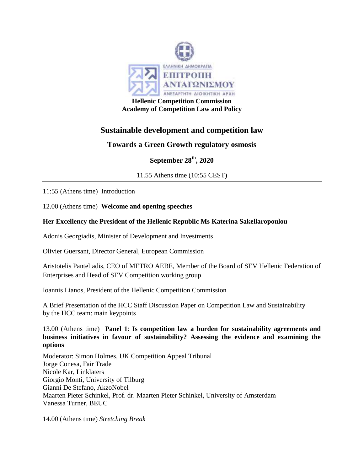

**Academy of Competition Law and Policy**

# **Sustainable development and competition law**

## **Towards a Green Growth regulatory osmosis**

**September 28th, 2020**

11.55 Athens time (10:55 CEST)

11:55 (Athens time) Introduction

12.00 (Athens time) **Welcome and opening speeches**

### **Her Excellency the President of the Hellenic Republic Ms Katerina Sakellaropoulou**

Adonis Georgiadis, Minister of Development and Investments

Olivier Guersant, Director General, European Commission

Aristotelis Panteliadis, CEO of METRO AEBE, Member of the Board of SEV Hellenic Federation of Enterprises and Head of SEV Competition working group

Ioannis Lianos, President of the Hellenic Competition Commission

A Brief Presentation of the HCC Staff Discussion Paper on Competition Law and Sustainability by the HCC team: main keypoints

13.00 (Athens time) **Panel 1**: **Is competition law a burden for sustainability agreements and business initiatives in favour of sustainability? Assessing the evidence and examining the options**

Moderator: Simon Holmes, UK Competition Appeal Tribunal Jorge Conesa, Fair Trade Nicole Kar, Linklaters Giorgio Monti, University of Tilburg Gianni De Stefano, AkzoNobel Maarten Pieter Schinkel, Prof. dr. Maarten Pieter Schinkel, University of Amsterdam Vanessa Turner, BEUC

14.00 (Athens time) *Stretching Break*